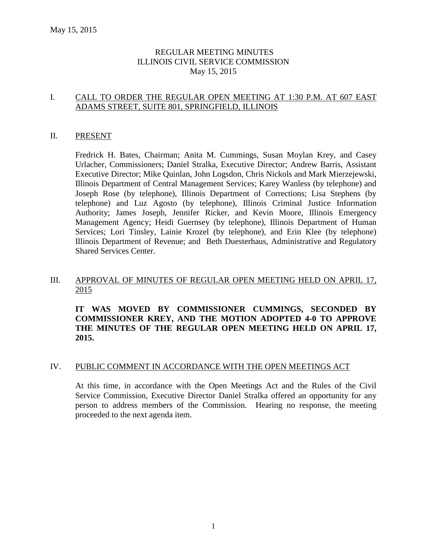### REGULAR MEETING MINUTES ILLINOIS CIVIL SERVICE COMMISSION May 15, 2015

### I. CALL TO ORDER THE REGULAR OPEN MEETING AT 1:30 P.M. AT 607 EAST ADAMS STREET, SUITE 801, SPRINGFIELD, ILLINOIS

#### II. PRESENT

Fredrick H. Bates, Chairman; Anita M. Cummings, Susan Moylan Krey, and Casey Urlacher, Commissioners; Daniel Stralka, Executive Director; Andrew Barris, Assistant Executive Director; Mike Quinlan, John Logsdon, Chris Nickols and Mark Mierzejewski, Illinois Department of Central Management Services; Karey Wanless (by telephone) and Joseph Rose (by telephone), Illinois Department of Corrections; Lisa Stephens (by telephone) and Luz Agosto (by telephone), Illinois Criminal Justice Information Authority; James Joseph, Jennifer Ricker, and Kevin Moore, Illinois Emergency Management Agency; Heidi Guernsey (by telephone), Illinois Department of Human Services; Lori Tinsley, Lainie Krozel (by telephone), and Erin Klee (by telephone) Illinois Department of Revenue; and Beth Duesterhaus, Administrative and Regulatory Shared Services Center.

### III. APPROVAL OF MINUTES OF REGULAR OPEN MEETING HELD ON APRIL 17, 2015

**IT WAS MOVED BY COMMISSIONER CUMMINGS, SECONDED BY COMMISSIONER KREY, AND THE MOTION ADOPTED 4-0 TO APPROVE THE MINUTES OF THE REGULAR OPEN MEETING HELD ON APRIL 17, 2015.** 

### IV. PUBLIC COMMENT IN ACCORDANCE WITH THE OPEN MEETINGS ACT

At this time, in accordance with the Open Meetings Act and the Rules of the Civil Service Commission, Executive Director Daniel Stralka offered an opportunity for any person to address members of the Commission. Hearing no response, the meeting proceeded to the next agenda item.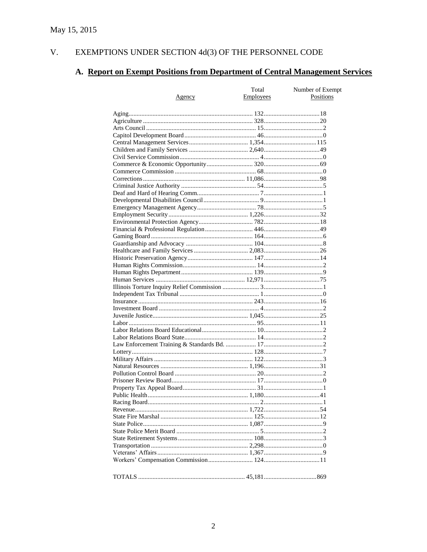#### V. EXEMPTIONS UNDER SECTION  $4d(3)$  OF THE PERSONNEL CODE

# A. Report on Exempt Positions from Department of Central Management Services

|               | Total            | Number of Exempt |
|---------------|------------------|------------------|
| <u>Agency</u> | <b>Employees</b> | Positions        |
|               |                  |                  |
|               |                  |                  |
|               |                  |                  |
|               |                  |                  |
|               |                  |                  |
|               |                  |                  |
|               |                  |                  |
|               |                  |                  |
|               |                  |                  |
|               |                  |                  |
|               |                  |                  |
|               |                  |                  |
|               |                  |                  |
|               |                  |                  |
|               |                  |                  |
|               |                  |                  |
|               |                  |                  |
|               |                  |                  |
|               |                  |                  |
|               |                  |                  |
|               |                  |                  |
|               |                  |                  |
|               |                  |                  |
|               |                  |                  |
|               |                  |                  |
|               |                  |                  |
|               |                  |                  |
|               |                  |                  |
|               |                  |                  |
|               |                  |                  |
|               |                  |                  |
|               |                  |                  |
|               |                  |                  |
|               |                  |                  |
|               |                  |                  |
|               |                  |                  |
|               |                  |                  |
|               |                  |                  |
|               |                  |                  |
|               |                  |                  |
|               |                  |                  |
|               |                  |                  |
|               |                  |                  |
|               |                  |                  |
|               |                  |                  |
|               |                  |                  |
|               |                  |                  |
|               |                  |                  |
|               |                  |                  |
|               |                  |                  |
|               |                  |                  |
|               |                  |                  |
|               |                  |                  |
|               |                  |                  |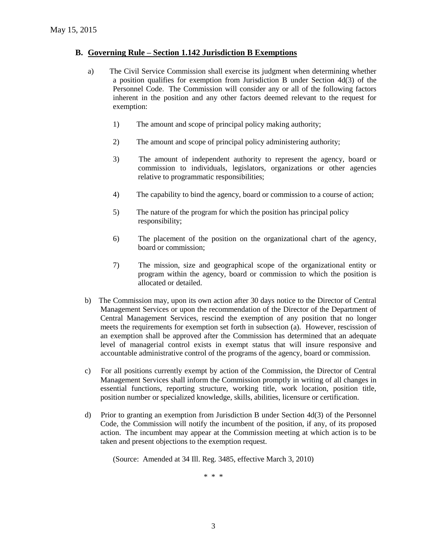#### **B. Governing Rule – Section 1.142 Jurisdiction B Exemptions**

- a) The Civil Service Commission shall exercise its judgment when determining whether a position qualifies for exemption from Jurisdiction B under Section 4d(3) of the Personnel Code. The Commission will consider any or all of the following factors inherent in the position and any other factors deemed relevant to the request for exemption:
	- 1) The amount and scope of principal policy making authority;
	- 2) The amount and scope of principal policy administering authority;
	- 3) The amount of independent authority to represent the agency, board or commission to individuals, legislators, organizations or other agencies relative to programmatic responsibilities;
	- 4) The capability to bind the agency, board or commission to a course of action;
	- 5) The nature of the program for which the position has principal policy responsibility;
	- 6) The placement of the position on the organizational chart of the agency, board or commission;
	- 7) The mission, size and geographical scope of the organizational entity or program within the agency, board or commission to which the position is allocated or detailed.
- b) The Commission may, upon its own action after 30 days notice to the Director of Central Management Services or upon the recommendation of the Director of the Department of Central Management Services, rescind the exemption of any position that no longer meets the requirements for exemption set forth in subsection (a). However, rescission of an exemption shall be approved after the Commission has determined that an adequate level of managerial control exists in exempt status that will insure responsive and accountable administrative control of the programs of the agency, board or commission.
- c) For all positions currently exempt by action of the Commission, the Director of Central Management Services shall inform the Commission promptly in writing of all changes in essential functions, reporting structure, working title, work location, position title, position number or specialized knowledge, skills, abilities, licensure or certification.
- d) Prior to granting an exemption from Jurisdiction B under Section 4d(3) of the Personnel Code, the Commission will notify the incumbent of the position, if any, of its proposed action. The incumbent may appear at the Commission meeting at which action is to be taken and present objections to the exemption request.

(Source: Amended at 34 Ill. Reg. 3485, effective March 3, 2010)

\* \* \*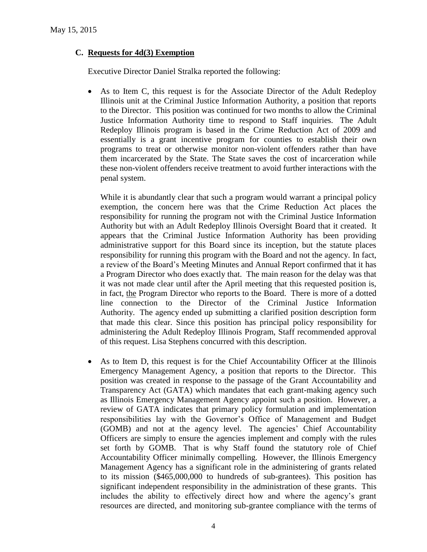### **C. Requests for 4d(3) Exemption**

Executive Director Daniel Stralka reported the following:

 As to Item C, this request is for the Associate Director of the Adult Redeploy Illinois unit at the Criminal Justice Information Authority, a position that reports to the Director. This position was continued for two months to allow the Criminal Justice Information Authority time to respond to Staff inquiries. The Adult Redeploy Illinois program is based in the Crime Reduction Act of 2009 and essentially is a grant incentive program for counties to establish their own programs to treat or otherwise monitor non-violent offenders rather than have them incarcerated by the State. The State saves the cost of incarceration while these non-violent offenders receive treatment to avoid further interactions with the penal system.

While it is abundantly clear that such a program would warrant a principal policy exemption, the concern here was that the Crime Reduction Act places the responsibility for running the program not with the Criminal Justice Information Authority but with an Adult Redeploy Illinois Oversight Board that it created. It appears that the Criminal Justice Information Authority has been providing administrative support for this Board since its inception, but the statute places responsibility for running this program with the Board and not the agency. In fact, a review of the Board's Meeting Minutes and Annual Report confirmed that it has a Program Director who does exactly that. The main reason for the delay was that it was not made clear until after the April meeting that this requested position is, in fact, the Program Director who reports to the Board. There is more of a dotted line connection to the Director of the Criminal Justice Information Authority. The agency ended up submitting a clarified position description form that made this clear. Since this position has principal policy responsibility for administering the Adult Redeploy Illinois Program, Staff recommended approval of this request. Lisa Stephens concurred with this description.

 As to Item D, this request is for the Chief Accountability Officer at the Illinois Emergency Management Agency, a position that reports to the Director. This position was created in response to the passage of the Grant Accountability and Transparency Act (GATA) which mandates that each grant-making agency such as Illinois Emergency Management Agency appoint such a position. However, a review of GATA indicates that primary policy formulation and implementation responsibilities lay with the Governor's Office of Management and Budget (GOMB) and not at the agency level. The agencies' Chief Accountability Officers are simply to ensure the agencies implement and comply with the rules set forth by GOMB. That is why Staff found the statutory role of Chief Accountability Officer minimally compelling. However, the Illinois Emergency Management Agency has a significant role in the administering of grants related to its mission (\$465,000,000 to hundreds of sub-grantees). This position has significant independent responsibility in the administration of these grants. This includes the ability to effectively direct how and where the agency's grant resources are directed, and monitoring sub-grantee compliance with the terms of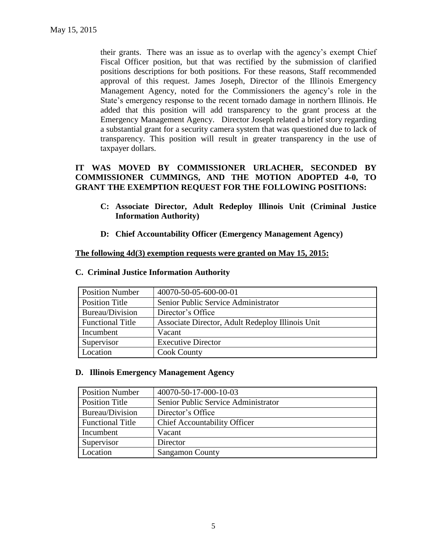their grants. There was an issue as to overlap with the agency's exempt Chief Fiscal Officer position, but that was rectified by the submission of clarified positions descriptions for both positions. For these reasons, Staff recommended approval of this request. James Joseph, Director of the Illinois Emergency Management Agency, noted for the Commissioners the agency's role in the State's emergency response to the recent tornado damage in northern Illinois. He added that this position will add transparency to the grant process at the Emergency Management Agency. Director Joseph related a brief story regarding a substantial grant for a security camera system that was questioned due to lack of transparency. This position will result in greater transparency in the use of taxpayer dollars.

## **IT WAS MOVED BY COMMISSIONER URLACHER, SECONDED BY COMMISSIONER CUMMINGS, AND THE MOTION ADOPTED 4-0, TO GRANT THE EXEMPTION REQUEST FOR THE FOLLOWING POSITIONS:**

- **C: Associate Director, Adult Redeploy Illinois Unit (Criminal Justice Information Authority)**
- **D: Chief Accountability Officer (Emergency Management Agency)**

### **The following 4d(3) exemption requests were granted on May 15, 2015:**

| <b>Position Number</b>  | 40070-50-05-600-00-01                            |
|-------------------------|--------------------------------------------------|
| <b>Position Title</b>   | Senior Public Service Administrator              |
| Bureau/Division         | Director's Office                                |
| <b>Functional Title</b> | Associate Director, Adult Redeploy Illinois Unit |
| Incumbent               | Vacant                                           |
| Supervisor              | <b>Executive Director</b>                        |
| Location                | <b>Cook County</b>                               |

#### **C. Criminal Justice Information Authority**

#### **D. Illinois Emergency Management Agency**

| <b>Position Number</b>  | 40070-50-17-000-10-03               |
|-------------------------|-------------------------------------|
| Position Title          | Senior Public Service Administrator |
| Bureau/Division         | Director's Office                   |
| <b>Functional Title</b> | <b>Chief Accountability Officer</b> |
| Incumbent               | Vacant                              |
| Supervisor              | Director                            |
| Location                | <b>Sangamon County</b>              |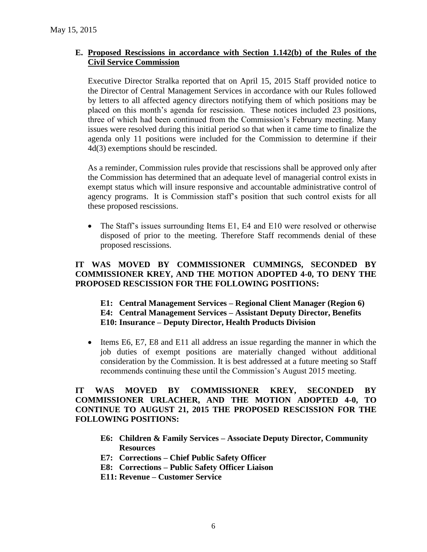### **E. Proposed Rescissions in accordance with Section 1.142(b) of the Rules of the Civil Service Commission**

Executive Director Stralka reported that on April 15, 2015 Staff provided notice to the Director of Central Management Services in accordance with our Rules followed by letters to all affected agency directors notifying them of which positions may be placed on this month's agenda for rescission. These notices included 23 positions, three of which had been continued from the Commission's February meeting. Many issues were resolved during this initial period so that when it came time to finalize the agenda only 11 positions were included for the Commission to determine if their 4d(3) exemptions should be rescinded.

As a reminder, Commission rules provide that rescissions shall be approved only after the Commission has determined that an adequate level of managerial control exists in exempt status which will insure responsive and accountable administrative control of agency programs. It is Commission staff's position that such control exists for all these proposed rescissions.

• The Staff's issues surrounding Items E1, E4 and E10 were resolved or otherwise disposed of prior to the meeting. Therefore Staff recommends denial of these proposed rescissions.

### **IT WAS MOVED BY COMMISSIONER CUMMINGS, SECONDED BY COMMISSIONER KREY, AND THE MOTION ADOPTED 4-0, TO DENY THE PROPOSED RESCISSION FOR THE FOLLOWING POSITIONS:**

### **E1: Central Management Services – Regional Client Manager (Region 6) E4: Central Management Services – Assistant Deputy Director, Benefits E10: Insurance – Deputy Director, Health Products Division**

 Items E6, E7, E8 and E11 all address an issue regarding the manner in which the job duties of exempt positions are materially changed without additional consideration by the Commission. It is best addressed at a future meeting so Staff recommends continuing these until the Commission's August 2015 meeting.

### **IT WAS MOVED BY COMMISSIONER KREY, SECONDED BY COMMISSIONER URLACHER, AND THE MOTION ADOPTED 4-0, TO CONTINUE TO AUGUST 21, 2015 THE PROPOSED RESCISSION FOR THE FOLLOWING POSITIONS:**

- **E6: Children & Family Services – Associate Deputy Director, Community Resources**
- **E7: Corrections – Chief Public Safety Officer**
- **E8: Corrections – Public Safety Officer Liaison**
- **E11: Revenue – Customer Service**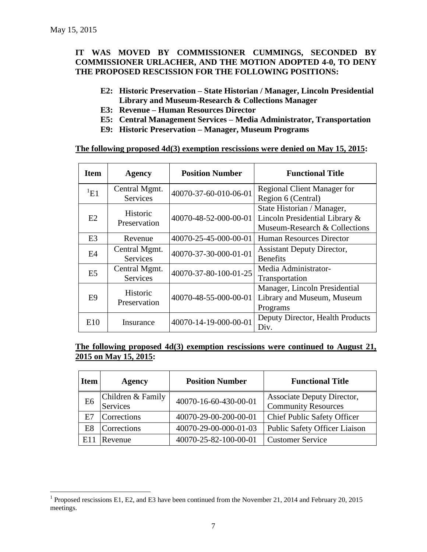$\overline{a}$ 

### **IT WAS MOVED BY COMMISSIONER CUMMINGS, SECONDED BY COMMISSIONER URLACHER, AND THE MOTION ADOPTED 4-0, TO DENY THE PROPOSED RESCISSION FOR THE FOLLOWING POSITIONS:**

- **E2: Historic Preservation – State Historian / Manager, Lincoln Presidential Library and Museum-Research & Collections Manager**
- **E3: Revenue – Human Resources Director**
- **E5: Central Management Services – Media Administrator, Transportation**
- **E9: Historic Preservation – Manager, Museum Programs**

#### **The following proposed 4d(3) exemption rescissions were denied on May 15, 2015:**

| <b>Item</b>       | <b>Agency</b>                    | <b>Position Number</b> | <b>Functional Title</b>                                                                       |
|-------------------|----------------------------------|------------------------|-----------------------------------------------------------------------------------------------|
| $\mathrm{^{1}E1}$ | Central Mgmt.<br><b>Services</b> | 40070-37-60-010-06-01  | <b>Regional Client Manager for</b><br>Region 6 (Central)                                      |
| E2                | Historic<br>Preservation         | 40070-48-52-000-00-01  | State Historian / Manager,<br>Lincoln Presidential Library &<br>Museum-Research & Collections |
| E <sub>3</sub>    | Revenue                          | 40070-25-45-000-00-01  | Human Resources Director                                                                      |
| E4                | Central Mgmt.<br><b>Services</b> | 40070-37-30-000-01-01  | <b>Assistant Deputy Director,</b><br><b>Benefits</b>                                          |
| E <sub>5</sub>    | Central Mgmt.<br><b>Services</b> | 40070-37-80-100-01-25  | Media Administrator-<br>Transportation                                                        |
| E <sub>9</sub>    | Historic<br>Preservation         | 40070-48-55-000-00-01  | Manager, Lincoln Presidential<br>Library and Museum, Museum<br>Programs                       |
| E <sub>10</sub>   | Insurance                        | 40070-14-19-000-00-01  | Deputy Director, Health Products<br>Div.                                                      |

### **The following proposed 4d(3) exemption rescissions were continued to August 21, 2015 on May 15, 2015:**

| <b>Item</b>    | <b>Agency</b>                 | <b>Position Number</b> | <b>Functional Title</b>              |
|----------------|-------------------------------|------------------------|--------------------------------------|
| E <sub>6</sub> | Children & Family<br>Services | 40070-16-60-430-00-01  | Associate Deputy Director,           |
|                |                               |                        | <b>Community Resources</b>           |
| E7             | Corrections                   | 40070-29-00-200-00-01  | <b>Chief Public Safety Officer</b>   |
| E8             | Corrections                   | 40070-29-00-000-01-03  | <b>Public Safety Officer Liaison</b> |
| E11            | Revenue                       | 40070-25-82-100-00-01  | <b>Customer Service</b>              |

<sup>&</sup>lt;sup>1</sup> Proposed rescissions E1, E2, and E3 have been continued from the November 21, 2014 and February 20, 2015 meetings.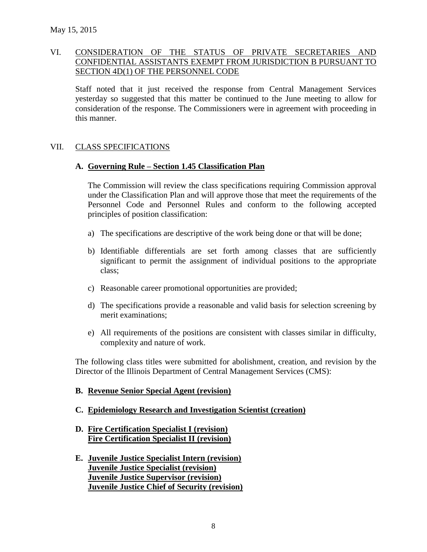## VI. CONSIDERATION OF THE STATUS OF PRIVATE SECRETARIES AND CONFIDENTIAL ASSISTANTS EXEMPT FROM JURISDICTION B PURSUANT TO SECTION 4D(1) OF THE PERSONNEL CODE

Staff noted that it just received the response from Central Management Services yesterday so suggested that this matter be continued to the June meeting to allow for consideration of the response. The Commissioners were in agreement with proceeding in this manner.

#### VII. CLASS SPECIFICATIONS

#### **A. Governing Rule – Section 1.45 Classification Plan**

The Commission will review the class specifications requiring Commission approval under the Classification Plan and will approve those that meet the requirements of the Personnel Code and Personnel Rules and conform to the following accepted principles of position classification:

- a) The specifications are descriptive of the work being done or that will be done;
- b) Identifiable differentials are set forth among classes that are sufficiently significant to permit the assignment of individual positions to the appropriate class;
- c) Reasonable career promotional opportunities are provided;
- d) The specifications provide a reasonable and valid basis for selection screening by merit examinations;
- e) All requirements of the positions are consistent with classes similar in difficulty, complexity and nature of work.

The following class titles were submitted for abolishment, creation, and revision by the Director of the Illinois Department of Central Management Services (CMS):

#### **B. Revenue Senior Special Agent (revision)**

### **C. Epidemiology Research and Investigation Scientist (creation)**

### **D. Fire Certification Specialist I (revision) Fire Certification Specialist II (revision)**

**E. Juvenile Justice Specialist Intern (revision) Juvenile Justice Specialist (revision) Juvenile Justice Supervisor (revision) Juvenile Justice Chief of Security (revision)**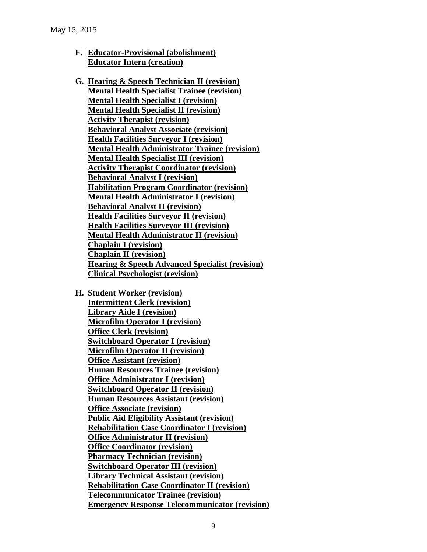- **F. Educator-Provisional (abolishment) Educator Intern (creation)**
- **G. Hearing & Speech Technician II (revision) Mental Health Specialist Trainee (revision) Mental Health Specialist I (revision) Mental Health Specialist II (revision) Activity Therapist (revision) Behavioral Analyst Associate (revision) Health Facilities Surveyor I (revision) Mental Health Administrator Trainee (revision) Mental Health Specialist III (revision) Activity Therapist Coordinator (revision) Behavioral Analyst I (revision) Habilitation Program Coordinator (revision) Mental Health Administrator I (revision) Behavioral Analyst II (revision) Health Facilities Surveyor II (revision) Health Facilities Surveyor III (revision) Mental Health Administrator II (revision) Chaplain I (revision) Chaplain II (revision) Hearing & Speech Advanced Specialist (revision) Clinical Psychologist (revision)**
- **H. Student Worker (revision)**

**Intermittent Clerk (revision) Library Aide I (revision) Microfilm Operator I (revision) Office Clerk (revision) Switchboard Operator I (revision) Microfilm Operator II (revision) Office Assistant (revision) Human Resources Trainee (revision) Office Administrator I (revision) Switchboard Operator II (revision) Human Resources Assistant (revision) Office Associate (revision) Public Aid Eligibility Assistant (revision) Rehabilitation Case Coordinator I (revision) Office Administrator II (revision) Office Coordinator (revision) Pharmacy Technician (revision) Switchboard Operator III (revision) Library Technical Assistant (revision) Rehabilitation Case Coordinator II (revision) Telecommunicator Trainee (revision) Emergency Response Telecommunicator (revision)**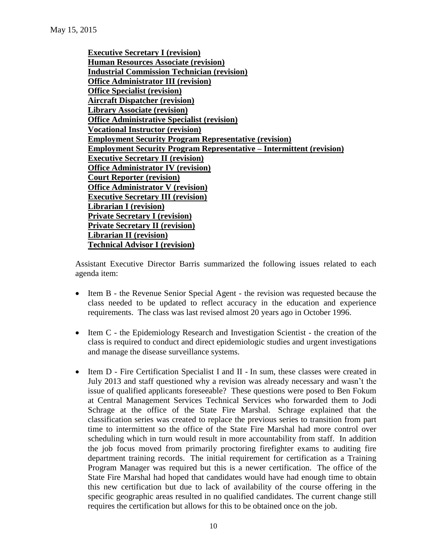**Executive Secretary I (revision) Human Resources Associate (revision) Industrial Commission Technician (revision) Office Administrator III (revision) Office Specialist (revision) Aircraft Dispatcher (revision) Library Associate (revision) Office Administrative Specialist (revision) Vocational Instructor (revision) Employment Security Program Representative (revision) Employment Security Program Representative – Intermittent (revision) Executive Secretary II (revision) Office Administrator IV (revision) Court Reporter (revision) Office Administrator V (revision) Executive Secretary III (revision) Librarian I (revision) Private Secretary I (revision) Private Secretary II (revision) Librarian II (revision) Technical Advisor I (revision)**

Assistant Executive Director Barris summarized the following issues related to each agenda item:

- Item B the Revenue Senior Special Agent the revision was requested because the class needed to be updated to reflect accuracy in the education and experience requirements. The class was last revised almost 20 years ago in October 1996.
- Item C the Epidemiology Research and Investigation Scientist the creation of the class is required to conduct and direct epidemiologic studies and urgent investigations and manage the disease surveillance systems.
- Item D Fire Certification Specialist I and II In sum, these classes were created in July 2013 and staff questioned why a revision was already necessary and wasn't the issue of qualified applicants foreseeable? These questions were posed to Ben Fokum at Central Management Services Technical Services who forwarded them to Jodi Schrage at the office of the State Fire Marshal. Schrage explained that the classification series was created to replace the previous series to transition from part time to intermittent so the office of the State Fire Marshal had more control over scheduling which in turn would result in more accountability from staff. In addition the job focus moved from primarily proctoring firefighter exams to auditing fire department training records. The initial requirement for certification as a Training Program Manager was required but this is a newer certification. The office of the State Fire Marshal had hoped that candidates would have had enough time to obtain this new certification but due to lack of availability of the course offering in the specific geographic areas resulted in no qualified candidates. The current change still requires the certification but allows for this to be obtained once on the job.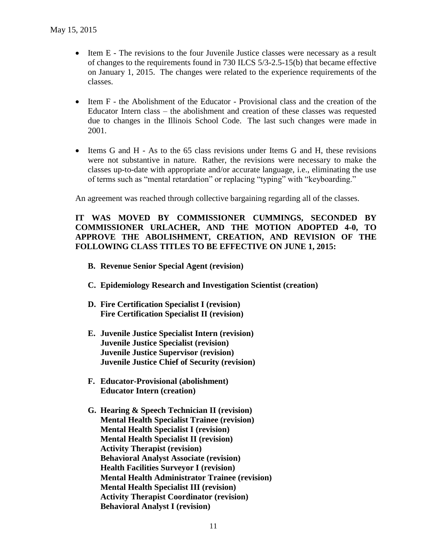- Item E The revisions to the four Juvenile Justice classes were necessary as a result of changes to the requirements found in 730 ILCS 5/3-2.5-15(b) that became effective on January 1, 2015. The changes were related to the experience requirements of the classes.
- Item F the Abolishment of the Educator Provisional class and the creation of the Educator Intern class – the abolishment and creation of these classes was requested due to changes in the Illinois School Code. The last such changes were made in 2001.
- Items G and H As to the 65 class revisions under Items G and H, these revisions were not substantive in nature. Rather, the revisions were necessary to make the classes up-to-date with appropriate and/or accurate language, i.e., eliminating the use of terms such as "mental retardation" or replacing "typing" with "keyboarding."

An agreement was reached through collective bargaining regarding all of the classes.

### **IT WAS MOVED BY COMMISSIONER CUMMINGS, SECONDED BY COMMISSIONER URLACHER, AND THE MOTION ADOPTED 4-0, TO APPROVE THE ABOLISHMENT, CREATION, AND REVISION OF THE FOLLOWING CLASS TITLES TO BE EFFECTIVE ON JUNE 1, 2015:**

- **B. Revenue Senior Special Agent (revision)**
- **C. Epidemiology Research and Investigation Scientist (creation)**
- **D. Fire Certification Specialist I (revision) Fire Certification Specialist II (revision)**
- **E. Juvenile Justice Specialist Intern (revision) Juvenile Justice Specialist (revision) Juvenile Justice Supervisor (revision) Juvenile Justice Chief of Security (revision)**
- **F. Educator-Provisional (abolishment) Educator Intern (creation)**
- **G. Hearing & Speech Technician II (revision) Mental Health Specialist Trainee (revision) Mental Health Specialist I (revision) Mental Health Specialist II (revision) Activity Therapist (revision) Behavioral Analyst Associate (revision) Health Facilities Surveyor I (revision) Mental Health Administrator Trainee (revision) Mental Health Specialist III (revision) Activity Therapist Coordinator (revision) Behavioral Analyst I (revision)**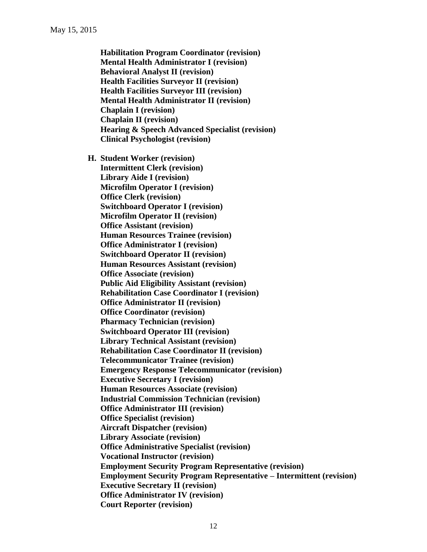**Habilitation Program Coordinator (revision) Mental Health Administrator I (revision) Behavioral Analyst II (revision) Health Facilities Surveyor II (revision) Health Facilities Surveyor III (revision) Mental Health Administrator II (revision) Chaplain I (revision) Chaplain II (revision) Hearing & Speech Advanced Specialist (revision) Clinical Psychologist (revision)**

**H. Student Worker (revision) Intermittent Clerk (revision) Library Aide I (revision) Microfilm Operator I (revision) Office Clerk (revision) Switchboard Operator I (revision) Microfilm Operator II (revision) Office Assistant (revision) Human Resources Trainee (revision) Office Administrator I (revision) Switchboard Operator II (revision) Human Resources Assistant (revision) Office Associate (revision) Public Aid Eligibility Assistant (revision) Rehabilitation Case Coordinator I (revision) Office Administrator II (revision) Office Coordinator (revision) Pharmacy Technician (revision) Switchboard Operator III (revision) Library Technical Assistant (revision) Rehabilitation Case Coordinator II (revision) Telecommunicator Trainee (revision) Emergency Response Telecommunicator (revision) Executive Secretary I (revision) Human Resources Associate (revision) Industrial Commission Technician (revision) Office Administrator III (revision) Office Specialist (revision) Aircraft Dispatcher (revision) Library Associate (revision) Office Administrative Specialist (revision) Vocational Instructor (revision) Employment Security Program Representative (revision) Employment Security Program Representative – Intermittent (revision) Executive Secretary II (revision) Office Administrator IV (revision) Court Reporter (revision)**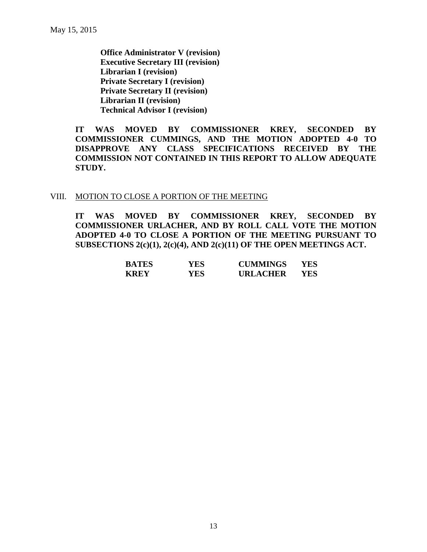**Office Administrator V (revision) Executive Secretary III (revision) Librarian I (revision) Private Secretary I (revision) Private Secretary II (revision) Librarian II (revision) Technical Advisor I (revision)**

**IT WAS MOVED BY COMMISSIONER KREY, SECONDED BY COMMISSIONER CUMMINGS, AND THE MOTION ADOPTED 4-0 TO DISAPPROVE ANY CLASS SPECIFICATIONS RECEIVED BY THE COMMISSION NOT CONTAINED IN THIS REPORT TO ALLOW ADEQUATE STUDY.** 

#### VIII. MOTION TO CLOSE A PORTION OF THE MEETING

**IT WAS MOVED BY COMMISSIONER KREY, SECONDED BY COMMISSIONER URLACHER, AND BY ROLL CALL VOTE THE MOTION ADOPTED 4-0 TO CLOSE A PORTION OF THE MEETING PURSUANT TO SUBSECTIONS 2(c)(1), 2(c)(4), AND 2(c)(11) OF THE OPEN MEETINGS ACT.**

| <b>BATES</b> | YES. | <b>CUMMINGS</b> | YES |
|--------------|------|-----------------|-----|
| <b>KREY</b>  | YES. | <b>URLACHER</b> | YES |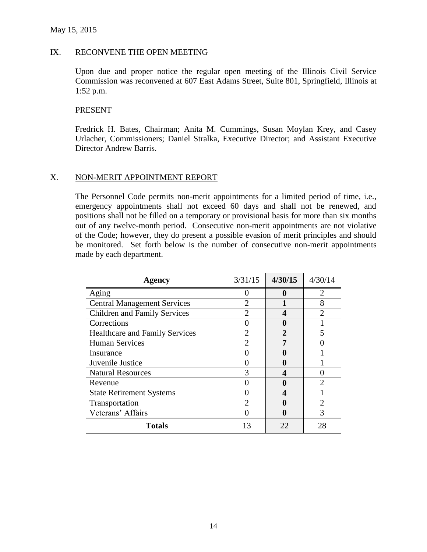#### IX. RECONVENE THE OPEN MEETING

Upon due and proper notice the regular open meeting of the Illinois Civil Service Commission was reconvened at 607 East Adams Street, Suite 801, Springfield, Illinois at 1:52 p.m.

#### PRESENT

Fredrick H. Bates, Chairman; Anita M. Cummings, Susan Moylan Krey, and Casey Urlacher, Commissioners; Daniel Stralka, Executive Director; and Assistant Executive Director Andrew Barris.

### X. NON-MERIT APPOINTMENT REPORT

The Personnel Code permits non-merit appointments for a limited period of time, i.e., emergency appointments shall not exceed 60 days and shall not be renewed, and positions shall not be filled on a temporary or provisional basis for more than six months out of any twelve-month period. Consecutive non-merit appointments are not violative of the Code; however, they do present a possible evasion of merit principles and should be monitored. Set forth below is the number of consecutive non-merit appointments made by each department.

| <b>Agency</b>                         | 3/31/15                     | 4/30/15      | 4/30/14       |
|---------------------------------------|-----------------------------|--------------|---------------|
| Aging                                 |                             | 11           |               |
| <b>Central Management Services</b>    | $\overline{2}$              |              | 8             |
| <b>Children and Family Services</b>   | $\mathfrak{D}$              |              | $\mathcal{D}$ |
| Corrections                           |                             |              |               |
| <b>Healthcare and Family Services</b> | $\mathcal{D}_{\mathcal{A}}$ | $\mathbf{2}$ | 5             |
| <b>Human Services</b>                 | $\mathcal{D}$               | 7            |               |
| Insurance                             |                             |              |               |
| Juvenile Justice                      |                             |              |               |
| <b>Natural Resources</b>              |                             |              |               |
| Revenue                               |                             |              |               |
| <b>State Retirement Systems</b>       |                             | 4            |               |
| Transportation                        | ↑                           |              | っ             |
| Veterans' Affairs                     |                             |              |               |
| <b>Totals</b>                         | 13                          | 22           | 28            |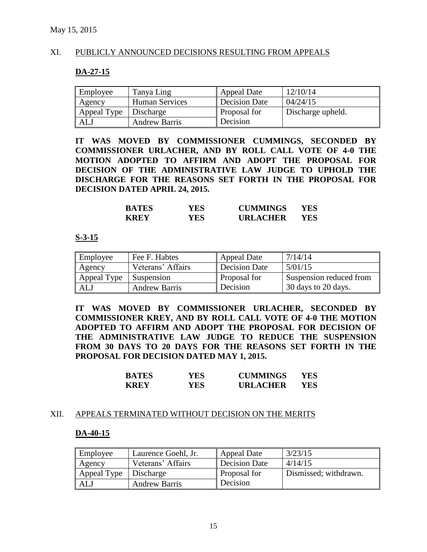### XI. PUBLICLY ANNOUNCED DECISIONS RESULTING FROM APPEALS

#### **DA-27-15**

| Employee    | Tanya Ling            | Appeal Date         | 12/10/14          |
|-------------|-----------------------|---------------------|-------------------|
| Agency      | <b>Human Services</b> | Decision Date       | 04/24/15          |
| Appeal Type | Discharge             | <b>Proposal for</b> | Discharge upheld. |
| ALJ         | <b>Andrew Barris</b>  | Decision            |                   |

**IT WAS MOVED BY COMMISSIONER CUMMINGS, SECONDED BY COMMISSIONER URLACHER, AND BY ROLL CALL VOTE OF 4-0 THE MOTION ADOPTED TO AFFIRM AND ADOPT THE PROPOSAL FOR DECISION OF THE ADMINISTRATIVE LAW JUDGE TO UPHOLD THE DISCHARGE FOR THE REASONS SET FORTH IN THE PROPOSAL FOR DECISION DATED APRIL 24, 2015.**

| <b>BATES</b> | YES. | <b>CUMMINGS</b> | YES |
|--------------|------|-----------------|-----|
| <b>KREY</b>  | YES. | <b>URLACHER</b> | YES |

#### **S-3-15**

| Employee    | Fee F. Habtes        | Appeal Date         | 7/14/14                 |
|-------------|----------------------|---------------------|-------------------------|
| Agency      | Veterans' Affairs    | Decision Date       | 5/01/15                 |
| Appeal Type | <b>Suspension</b>    | <b>Proposal for</b> | Suspension reduced from |
| ALJ         | <b>Andrew Barris</b> | Decision            | 30 days to 20 days.     |

**IT WAS MOVED BY COMMISSIONER URLACHER, SECONDED BY COMMISSIONER KREY, AND BY ROLL CALL VOTE OF 4-0 THE MOTION ADOPTED TO AFFIRM AND ADOPT THE PROPOSAL FOR DECISION OF THE ADMINISTRATIVE LAW JUDGE TO REDUCE THE SUSPENSION FROM 30 DAYS TO 20 DAYS FOR THE REASONS SET FORTH IN THE PROPOSAL FOR DECISION DATED MAY 1, 2015.**

| <b>BATES</b> | YES  | <b>CUMMINGS</b> | YES |
|--------------|------|-----------------|-----|
| <b>KREY</b>  | YES. | <b>URLACHER</b> | YES |

#### XII. APPEALS TERMINATED WITHOUT DECISION ON THE MERITS

#### **DA-40-15**

| Employee                | Laurence Goehl, Jr.  | Appeal Date         | 3/23/15               |
|-------------------------|----------------------|---------------------|-----------------------|
| Agency                  | Veterans' Affairs    | Decision Date       | 4/14/15               |
| Appeal Type   Discharge |                      | <b>Proposal for</b> | Dismissed; withdrawn. |
| ALJ                     | <b>Andrew Barris</b> | Decision            |                       |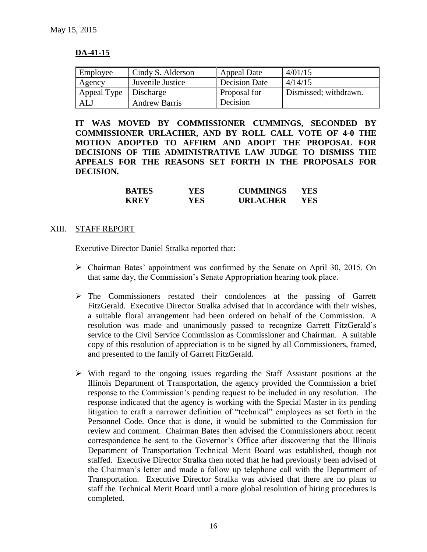## **DA-41-15**

| Employee    | Cindy S. Alderson    | Appeal Date   | 4/01/15               |
|-------------|----------------------|---------------|-----------------------|
| Agency      | Juvenile Justice     | Decision Date | 4/14/15               |
| Appeal Type | Discharge            | Proposal for  | Dismissed; withdrawn. |
| ALJ         | <b>Andrew Barris</b> | Decision      |                       |

**IT WAS MOVED BY COMMISSIONER CUMMINGS, SECONDED BY COMMISSIONER URLACHER, AND BY ROLL CALL VOTE OF 4-0 THE MOTION ADOPTED TO AFFIRM AND ADOPT THE PROPOSAL FOR DECISIONS OF THE ADMINISTRATIVE LAW JUDGE TO DISMISS THE APPEALS FOR THE REASONS SET FORTH IN THE PROPOSALS FOR DECISION.**

| <b>BATES</b> | YES. | <b>CUMMINGS</b> | YES |
|--------------|------|-----------------|-----|
| <b>KREY</b>  | YES  | <b>URLACHER</b> | YES |

#### XIII. STAFF REPORT

Executive Director Daniel Stralka reported that:

- Chairman Bates' appointment was confirmed by the Senate on April 30, 2015. On that same day, the Commission's Senate Appropriation hearing took place.
- The Commissioners restated their condolences at the passing of Garrett FitzGerald. Executive Director Stralka advised that in accordance with their wishes, a suitable floral arrangement had been ordered on behalf of the Commission. A resolution was made and unanimously passed to recognize Garrett FitzGerald's service to the Civil Service Commission as Commissioner and Chairman. A suitable copy of this resolution of appreciation is to be signed by all Commissioners, framed, and presented to the family of Garrett FitzGerald.
- $\triangleright$  With regard to the ongoing issues regarding the Staff Assistant positions at the Illinois Department of Transportation, the agency provided the Commission a brief response to the Commission's pending request to be included in any resolution. The response indicated that the agency is working with the Special Master in its pending litigation to craft a narrower definition of "technical" employees as set forth in the Personnel Code. Once that is done, it would be submitted to the Commission for review and comment. Chairman Bates then advised the Commissioners about recent correspondence he sent to the Governor's Office after discovering that the Illinois Department of Transportation Technical Merit Board was established, though not staffed. Executive Director Stralka then noted that he had previously been advised of the Chairman's letter and made a follow up telephone call with the Department of Transportation. Executive Director Stralka was advised that there are no plans to staff the Technical Merit Board until a more global resolution of hiring procedures is completed.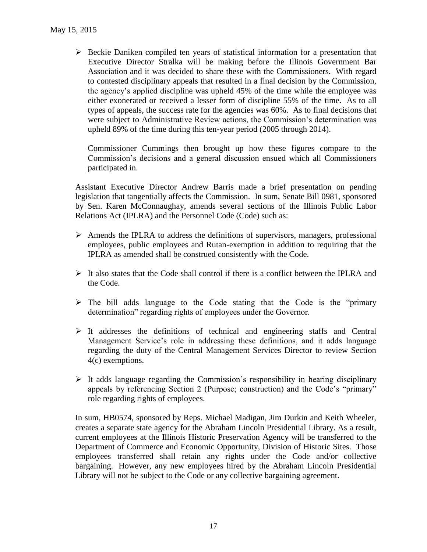$\triangleright$  Beckie Daniken compiled ten years of statistical information for a presentation that Executive Director Stralka will be making before the Illinois Government Bar Association and it was decided to share these with the Commissioners. With regard to contested disciplinary appeals that resulted in a final decision by the Commission, the agency's applied discipline was upheld 45% of the time while the employee was either exonerated or received a lesser form of discipline 55% of the time. As to all types of appeals, the success rate for the agencies was 60%. As to final decisions that were subject to Administrative Review actions, the Commission's determination was upheld 89% of the time during this ten-year period (2005 through 2014).

Commissioner Cummings then brought up how these figures compare to the Commission's decisions and a general discussion ensued which all Commissioners participated in.

Assistant Executive Director Andrew Barris made a brief presentation on pending legislation that tangentially affects the Commission. In sum, Senate Bill 0981, sponsored by Sen. Karen McConnaughay, amends several sections of the Illinois Public Labor Relations Act (IPLRA) and the Personnel Code (Code) such as:

- $\triangleright$  Amends the IPLRA to address the definitions of supervisors, managers, professional employees, public employees and Rutan-exemption in addition to requiring that the IPLRA as amended shall be construed consistently with the Code.
- $\triangleright$  It also states that the Code shall control if there is a conflict between the IPLRA and the Code.
- $\triangleright$  The bill adds language to the Code stating that the Code is the "primary" determination" regarding rights of employees under the Governor.
- $\triangleright$  It addresses the definitions of technical and engineering staffs and Central Management Service's role in addressing these definitions, and it adds language regarding the duty of the Central Management Services Director to review Section 4(c) exemptions.
- $\triangleright$  It adds language regarding the Commission's responsibility in hearing disciplinary appeals by referencing Section 2 (Purpose; construction) and the Code's "primary" role regarding rights of employees.

In sum, HB0574, sponsored by Reps. Michael Madigan, Jim Durkin and Keith Wheeler, creates a separate state agency for the Abraham Lincoln Presidential Library. As a result, current employees at the Illinois Historic Preservation Agency will be transferred to the Department of Commerce and Economic Opportunity, Division of Historic Sites. Those employees transferred shall retain any rights under the Code and/or collective bargaining. However, any new employees hired by the Abraham Lincoln Presidential Library will not be subject to the Code or any collective bargaining agreement.